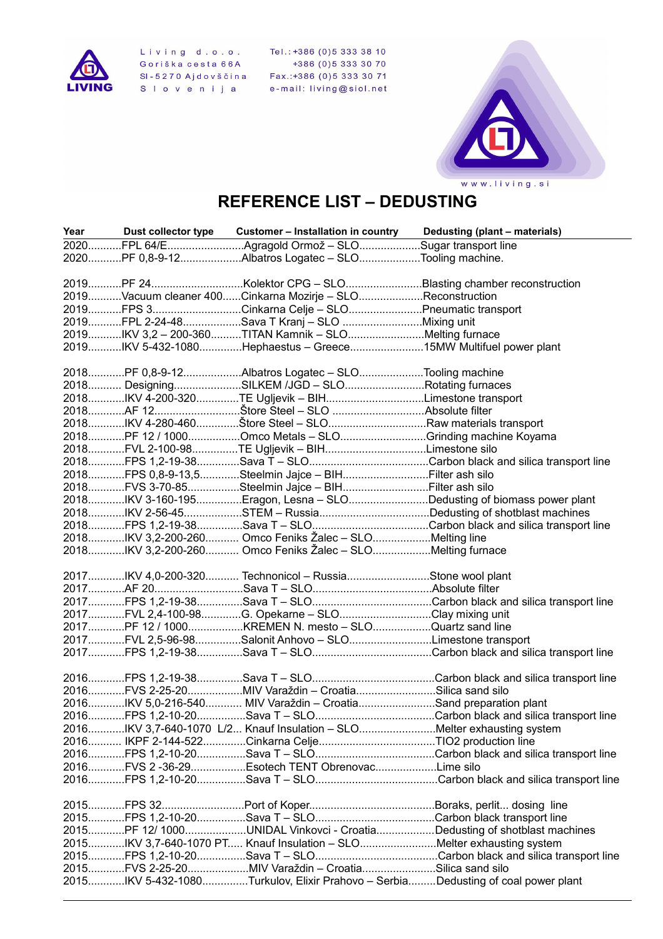

Living d.o.o. Tel.:+386 (0)5 333 38 10<br>Goriška cesta 66A +386 (0)5 333 30 70<br>SI-5270 Ajdovščina Fax.:+386 (0)5 333 30 71<br>SI ovenija e-mail: living@siol.net



## **REFERENCE LIST – DEDUSTING**

|  | Year Dust collector type Customer - Installation in country Dedusting (plant - materials) |                                                                         |
|--|-------------------------------------------------------------------------------------------|-------------------------------------------------------------------------|
|  | 2020FPL 64/EAgragold Ormož - SLOSugar transport line                                      |                                                                         |
|  | 2020PF 0,8-9-12Albatros Logatec - SLOTooling machine.                                     |                                                                         |
|  |                                                                                           |                                                                         |
|  | 2019PF 24Kolektor CPG - SLOBlasting chamber reconstruction                                |                                                                         |
|  | 2019Vacuum cleaner 400Cinkarna Mozirje - SLOReconstruction                                |                                                                         |
|  | 2019FPS 3Cinkarna Celje - SLOPneumatic transport                                          |                                                                         |
|  | 2019FPL 2-24-48Sava T Kranj - SLO Mixing unit                                             |                                                                         |
|  | 2019IKV 3,2 - 200-360TITAN Kamnik - SLOMelting furnace                                    |                                                                         |
|  | 2019IKV 5-432-1080Hephaestus - Greece15MW Multifuel power plant                           |                                                                         |
|  |                                                                                           |                                                                         |
|  | 2018PF 0,8-9-12Albatros Logatec - SLOTooling machine                                      |                                                                         |
|  | 2018 DesigningSILKEM /JGD - SLORotating furnaces                                          |                                                                         |
|  | 2018IKV 4-200-320TE Ugljevik - BIHLimestone transport                                     |                                                                         |
|  |                                                                                           |                                                                         |
|  | 2018IKV 4-280-460Štore Steel - SLORaw materials transport                                 |                                                                         |
|  | 2018PF 12 / 1000Omco Metals - SLOGrinding machine Koyama                                  |                                                                         |
|  | 2018FVL 2-100-98TE Ugljevik - BIHLimestone silo                                           |                                                                         |
|  |                                                                                           |                                                                         |
|  | 2018FPS 0,8-9-13,5Steelmin Jajce - BIHFilter ash silo                                     |                                                                         |
|  | 2018FVS 3-70-85Steelmin Jajce - BIHFilter ash silo                                        |                                                                         |
|  |                                                                                           | 2018IKV 3-160-195Eragon, Lesna - SLODedusting of biomass power plant    |
|  |                                                                                           |                                                                         |
|  |                                                                                           | 2018FPS 1,2-19-38Sava T - SLOCarbon black and silica transport line     |
|  | 2018IKV 3,2-200-260 Omco Feniks Žalec - SLOMelting line                                   |                                                                         |
|  | 2018IKV 3,2-200-260 Omco Feniks Žalec – SLOMelting furnace                                |                                                                         |
|  |                                                                                           |                                                                         |
|  | 2017IKV 4,0-200-320 Technonicol - RussiaStone wool plant                                  |                                                                         |
|  |                                                                                           |                                                                         |
|  |                                                                                           | 2017FPS 1,2-19-38Sava T - SLOCarbon black and silica transport line     |
|  | 2017FVL 2,4-100-98G. Opekarne - SLOClay mixing unit                                       |                                                                         |
|  | 2017PF 12 / 1000KREMEN N. mesto - SLOQuartz sand line                                     |                                                                         |
|  | 2017FVL 2,5-96-98Salonit Anhovo - SLOLimestone transport                                  |                                                                         |
|  |                                                                                           |                                                                         |
|  |                                                                                           |                                                                         |
|  |                                                                                           |                                                                         |
|  | 2016FVS 2-25-20MIV Varaždin - CroatiaSilica sand silo                                     |                                                                         |
|  | 2016IKV 5,0-216-540 MIV Varaždin - CroatiaSand preparation plant                          |                                                                         |
|  |                                                                                           |                                                                         |
|  | 2016IKV 3,7-640-1070 L/2 Knauf Insulation - SLOMelter exhausting system                   |                                                                         |
|  |                                                                                           |                                                                         |
|  |                                                                                           |                                                                         |
|  | 2016FVS 2 -36-29Esotech TENT ObrenovacLime silo                                           |                                                                         |
|  |                                                                                           |                                                                         |
|  |                                                                                           |                                                                         |
|  |                                                                                           |                                                                         |
|  |                                                                                           |                                                                         |
|  |                                                                                           | 2015PF 12/ 1000UNIDAL Vinkovci - CroatiaDedusting of shotblast machines |
|  | 2015IKV 3,7-640-1070 PT Knauf Insulation - SLOMelter exhausting system                    |                                                                         |
|  |                                                                                           |                                                                         |
|  | 2015FVS 2-25-20MIV Varaždin - CroatiaSilica sand silo                                     |                                                                         |
|  | 2015IKV 5-432-1080Turkulov, Elixir Prahovo - SerbiaDedusting of coal power plant          |                                                                         |
|  |                                                                                           |                                                                         |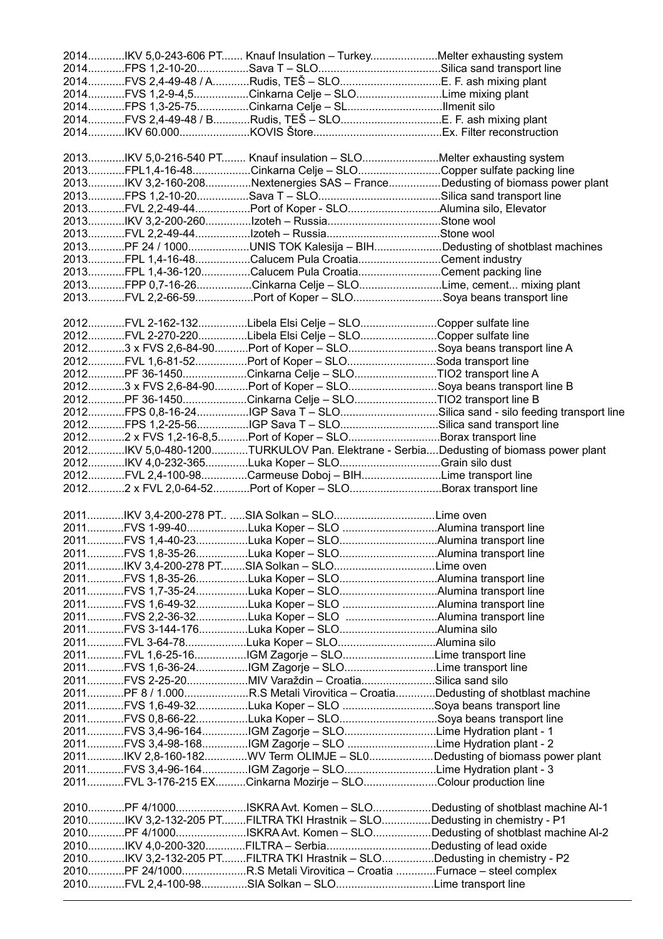|  | 2014IKV 5,0-243-606 PT Knauf Insulation - TurkeyMelter exhausting system                                                       |                                                                            |
|--|--------------------------------------------------------------------------------------------------------------------------------|----------------------------------------------------------------------------|
|  |                                                                                                                                |                                                                            |
|  | 2014FVS 2,4-49-48 / ARudis, TEŠ - SLOE. F. ash mixing plant                                                                    |                                                                            |
|  | 2014FVS 1,2-9-4,5Cinkarna Celje - SLOLime mixing plant                                                                         |                                                                            |
|  | 2014FPS 1,3-25-75Cinkarna Celje - SLIlmenit silo                                                                               |                                                                            |
|  | 2014FVS 2,4-49-48 / BRudis, TEŠ – SLOE. F. ash mixing plant                                                                    |                                                                            |
|  |                                                                                                                                |                                                                            |
|  |                                                                                                                                |                                                                            |
|  | 2013IKV 5,0-216-540 PT Knauf insulation - SLOMelter exhausting system                                                          |                                                                            |
|  | 2013FPL1,4-16-48Cinkarna Celje - SLOCopper sulfate packing line                                                                |                                                                            |
|  | 2013IKV 3,2-160-208Nextenergies SAS - FranceDedusting of biomass power plant                                                   |                                                                            |
|  |                                                                                                                                |                                                                            |
|  | 2013FVL 2,2-49-44Port of Koper - SLOAlumina silo, Elevator                                                                     |                                                                            |
|  |                                                                                                                                |                                                                            |
|  |                                                                                                                                |                                                                            |
|  | 2013PF 24 / 1000UNIS TOK Kalesija - BIHDedusting of shotblast machines                                                         |                                                                            |
|  | 2013FPL 1,4-16-48Calucem Pula CroatiaCement industry                                                                           |                                                                            |
|  | 2013FPL 1,4-36-120Calucem Pula CroatiaCement packing line                                                                      |                                                                            |
|  | 2013FPP 0,7-16-26Cinkarna Celje - SLOLime, cement mixing plant                                                                 |                                                                            |
|  | 2013FVL 2,2-66-59Port of Koper - SLOSoya beans transport line                                                                  |                                                                            |
|  |                                                                                                                                |                                                                            |
|  | 2012FVL 2-162-132Libela Elsi Celje - SLOCopper sulfate line                                                                    |                                                                            |
|  | 2012FVL 2-270-220Libela Elsi Celje - SLOCopper sulfate line                                                                    |                                                                            |
|  | 20123 x FVS 2,6-84-90Port of Koper - SLOSoya beans transport line A                                                            |                                                                            |
|  | 2012FVL 1,6-81-52Port of Koper - SLOSoda transport line                                                                        |                                                                            |
|  | 2012PF 36-1450Cinkarna Celje - SLOTIO2 transport line A                                                                        |                                                                            |
|  | 20123 x FVS 2,6-84-90Port of Koper - SLOSoya beans transport line B                                                            |                                                                            |
|  | 2012PF 36-1450Cinkarna Celje - SLOTIO2 transport line B                                                                        |                                                                            |
|  |                                                                                                                                | 2012FPS 0,8-16-24IGP Sava T - SLOSilica sand - silo feeding transport line |
|  | 2012FPS 1,2-25-56IGP Sava T - SLOSilica sand transport line                                                                    |                                                                            |
|  | 20122 x FVS 1,2-16-8,5Port of Koper - SLOBorax transport line                                                                  |                                                                            |
|  | 2012IKV 5,0-480-1200TURKULOV Pan. Elektrane - SerbiaDedusting of biomass power plant                                           |                                                                            |
|  | 2012IKV 4,0-232-365Luka Koper - SLOGrain silo dust                                                                             |                                                                            |
|  |                                                                                                                                |                                                                            |
|  |                                                                                                                                |                                                                            |
|  | 2012FVL 2,4-100-98Carmeuse Doboj - BIHLime transport line                                                                      |                                                                            |
|  | 20122 x FVL 2,0-64-52Port of Koper - SLOBorax transport line                                                                   |                                                                            |
|  |                                                                                                                                |                                                                            |
|  | 2011IKV 3,4-200-278 PT SIA Solkan - SLOLime oven                                                                               |                                                                            |
|  | 2011FVS 1-99-40Luka Koper - SLO Alumina transport line                                                                         |                                                                            |
|  | 2011FVS 1,4-40-23Luka Koper - SLOAlumina transport line                                                                        |                                                                            |
|  | 2011FVS 1,8-35-26Luka Koper - SLOAlumina transport line                                                                        |                                                                            |
|  | 2011IKV 3,4-200-278 PTSIA Solkan - SLOLime oven                                                                                |                                                                            |
|  | 2011FVS 1,8-35-26Luka Koper - SLOAlumina transport line                                                                        |                                                                            |
|  | 2011FVS 1,7-35-24Luka Koper - SLOAlumina transport line                                                                        |                                                                            |
|  | 2011FVS 1,6-49-32Luka Koper - SLO Alumina transport line                                                                       |                                                                            |
|  | 2011FVS 2,2-36-32Luka Koper - SLO Alumina transport line                                                                       |                                                                            |
|  | 2011FVS 3-144-176Luka Koper - SLOAlumina silo                                                                                  |                                                                            |
|  | 2011FVL 3-64-78Luka Koper - SLOAlumina silo                                                                                    |                                                                            |
|  | 2011FVL 1,6-25-16IGM Zagorje - SLOLime transport line                                                                          |                                                                            |
|  | 2011FVS 1,6-36-24IGM Zagorje - SLOLime transport line                                                                          |                                                                            |
|  | 2011FVS 2-25-20MIV Varaždin - CroatiaSilica sand silo                                                                          |                                                                            |
|  | 2011PF 8 / 1.000R.S Metali Virovitica - CroatiaDedusting of shotblast machine                                                  |                                                                            |
|  | 2011FVS 1,6-49-32Luka Koper - SLO Soya beans transport line                                                                    |                                                                            |
|  | 2011FVS 0,8-66-22Luka Koper - SLOSoya beans transport line                                                                     |                                                                            |
|  | 2011FVS 3,4-96-164IGM Zagorje - SLOLime Hydration plant - 1                                                                    |                                                                            |
|  | 2011FVS 3,4-98-168IGM Zagorje - SLO Lime Hydration plant - 2                                                                   |                                                                            |
|  | 2011IKV 2,8-160-182WV Term OLIMJE - SL0Dedusting of biomass power plant                                                        |                                                                            |
|  | 2011FVS 3,4-96-164IGM Zagorje - SLOLime Hydration plant - 3                                                                    |                                                                            |
|  | 2011FVL 3-176-215 EXCinkarna Mozirje - SLOColour production line                                                               |                                                                            |
|  |                                                                                                                                |                                                                            |
|  | 2010PF 4/1000ISKRA Avt. Komen - SLODedusting of shotblast machine Al-1                                                         |                                                                            |
|  | 2010IKV 3,2-132-205 PTFILTRA TKI Hrastnik - SLODedusting in chemistry - P1                                                     |                                                                            |
|  | 2010PF 4/1000ISKRA Avt. Komen - SLODedusting of shotblast machine Al-2                                                         |                                                                            |
|  | 2010IKV 4,0-200-320FILTRA - SerbiaDedusting of lead oxide                                                                      |                                                                            |
|  | 2010IKV 3,2-132-205 PTFILTRA TKI Hrastnik - SLODedusting in chemistry - P2                                                     |                                                                            |
|  | 2010PF 24/1000R.S Metali Virovitica - Croatia Furnace - steel complex<br>2010FVL 2,4-100-98SIA Solkan - SLOLime transport line |                                                                            |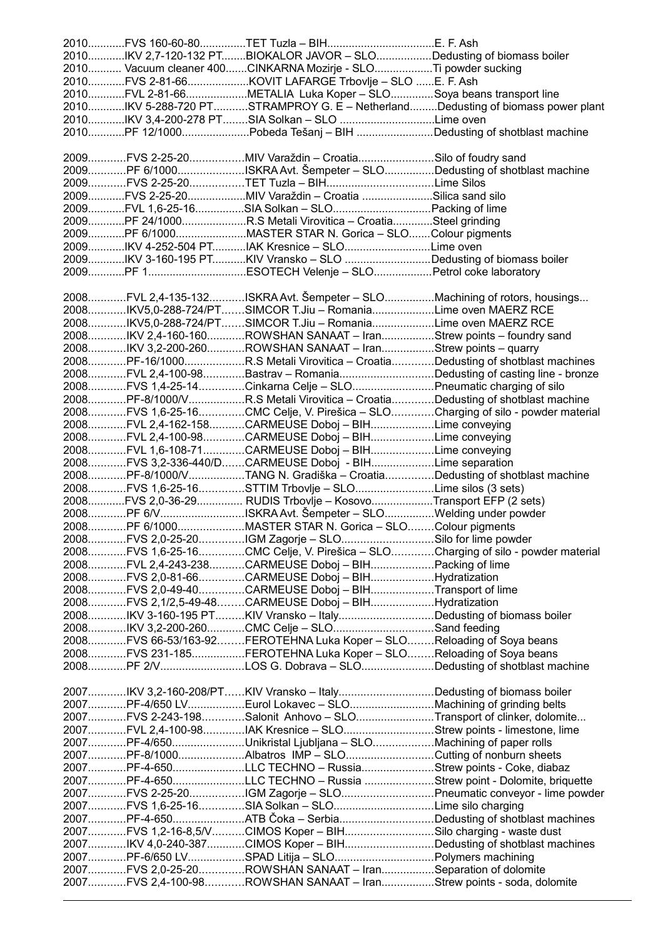|  | 2010IKV 2,7-120-132 PTBIOKALOR JAVOR - SLODedusting of biomass boiler                                                                |  |
|--|--------------------------------------------------------------------------------------------------------------------------------------|--|
|  | 2010 Vacuum cleaner 400CINKARNA Mozirje - SLOTi powder sucking                                                                       |  |
|  | 2010FVS 2-81-66KOVIT LAFARGE Trbovlje - SLO E. F. Ash                                                                                |  |
|  | 2010FVL 2-81-66METALIA Luka Koper - SLOSoya beans transport line                                                                     |  |
|  | 2010IKV 5-288-720 PTSTRAMPROY G. E - NetherlandDedusting of biomass power plant                                                      |  |
|  | 2010IKV 3,4-200-278 PTSIA Solkan - SLO Lime oven                                                                                     |  |
|  | 2010PF 12/1000Pobeda Tešanj - BIH Dedusting of shotblast machine                                                                     |  |
|  |                                                                                                                                      |  |
|  | 2009FVS 2-25-20MIV Varaždin - CroatiaSilo of foudry sand                                                                             |  |
|  | 2009PF 6/1000ISKRA Avt. Šempeter - SLODedusting of shotblast machine                                                                 |  |
|  | 2009FVS 2-25-20TET Tuzla - BIHLime Silos                                                                                             |  |
|  | 2009FVS 2-25-20MIV Varaždin - Croatia Silica sand silo                                                                               |  |
|  |                                                                                                                                      |  |
|  | 2009PF 24/1000R.S Metali Virovitica - CroatiaSteel grinding                                                                          |  |
|  | 2009PF 6/1000MASTER STAR N. Gorica - SLOColour pigments                                                                              |  |
|  | 2009IKV 4-252-504 PTIAK Kresnice - SLOLime oven                                                                                      |  |
|  | 2009IKV 3-160-195 PTKIV Vransko - SLO Dedusting of biomass boiler                                                                    |  |
|  |                                                                                                                                      |  |
|  |                                                                                                                                      |  |
|  | 2008FVL 2,4-135-132ISKRA Avt. Šempeter - SLOMachining of rotors, housings                                                            |  |
|  | 2008IKV5,0-288-724/PTSIMCOR T.Jiu - RomaniaLime oven MAERZ RCE                                                                       |  |
|  | 2008IKV5,0-288-724/PTSIMCOR T.Jiu - RomaniaLime oven MAERZ RCE                                                                       |  |
|  | 2008IKV 2,4-160-160ROWSHAN SANAAT - IranStrew points - foundry sand                                                                  |  |
|  | 2008IKV 3,2-200-260ROWSHAN SANAAT - IranStrew points - quarry                                                                        |  |
|  | 2008PF-16/1000R.S Metali Virovitica - CroatiaDedusting of shotblast machines                                                         |  |
|  | 2008FVL 2,4-100-98Bastrav - RomaniaDedusting of casting line - bronze                                                                |  |
|  | 2008FVS 1,4-25-14Cinkarna Celje - SLOPneumatic charging of silo                                                                      |  |
|  | 2008PF-8/1000/VR.S Metali Virovitica - CroatiaDedusting of shotblast machine                                                         |  |
|  | 2008FVS 1,6-25-16CMC Celje, V. Pirešica - SLOCharging of silo - powder material                                                      |  |
|  | 2008FVL 2,4-162-158CARMEUSE Doboj - BIHLime conveying                                                                                |  |
|  | 2008FVL 2,4-100-98CARMEUSE Doboj - BIHLime conveying                                                                                 |  |
|  | 2008FVL 1,6-108-71CARMEUSE Doboj - BIHLime conveying                                                                                 |  |
|  | 2008FVS 3,2-336-440/DCARMEUSE Doboj - BIHLime separation                                                                             |  |
|  | 2008PF-8/1000/VTANG N. Gradiška - CroatiaDedusting of shotblast machine                                                              |  |
|  | 2008FVS 1,6-25-16STTIM Trbovlje - SLOLime silos (3 sets)                                                                             |  |
|  | 2008FVS 2,0-36-29 RUDIS Trbovlje - KosovoTransport EFP (2 sets)                                                                      |  |
|  | 2008PF 6/VISKRA Avt. Šempeter - SLOWelding under powder                                                                              |  |
|  | 2008PF 6/1000MASTER STAR N. Gorica - SLOColour pigments                                                                              |  |
|  | 2008FVS 2,0-25-20IGM Zagorje - SLOSilo for lime powder                                                                               |  |
|  | 2008FVS 1,6-25-16CMC Celje, V. Pirešica - SLOCharging of silo - powder material                                                      |  |
|  | 2008FVL 2,4-243-238CARMEUSE Doboj - BIHPacking of lime                                                                               |  |
|  | 2008FVS 2,0-81-66CARMEUSE Doboj - BIHHydratization                                                                                   |  |
|  | 2008FVS 2,0-49-40CARMEUSE Doboj - BIHTransport of lime                                                                               |  |
|  | 2008FVS 2,1/2,5-49-48CARMEUSE Doboj - BIHHydratization                                                                               |  |
|  | 2008IKV 3-160-195 PTKIV Vransko - ItalyDedusting of biomass boiler                                                                   |  |
|  | 2008IKV 3,2-200-260CMC Celje - SLOSand feeding                                                                                       |  |
|  | 2008FVS 66-53/163-92FEROTEHNA Luka Koper - SLOReloading of Soya beans                                                                |  |
|  | 2008FVS 231-185FEROTEHNA Luka Koper - SLOReloading of Soya beans                                                                     |  |
|  | 2008PF 2/VLOS G. Dobrava - SLODedusting of shotblast machine                                                                         |  |
|  |                                                                                                                                      |  |
|  | 2007IKV 3,2-160-208/PTKIV Vransko - ItalyDedusting of biomass boiler                                                                 |  |
|  | 2007PF-4/650 LVEurol Lokavec - SLOMachining of grinding belts                                                                        |  |
|  | 2007FVS 2-243-198Salonit Anhovo - SLOTransport of clinker, dolomite                                                                  |  |
|  | 2007FVL 2,4-100-98IAK Kresnice - SLOStrew points - limestone, lime                                                                   |  |
|  | 2007PF-4/650Unikristal Ljubljana - SLOMachining of paper rolls                                                                       |  |
|  | 2007PF-8/1000Albatros IMP - SLOCutting of nonburn sheets                                                                             |  |
|  | 2007PF-4-650LLC TECHNO - RussiaStrew points - Coke, diabaz                                                                           |  |
|  | 2007PF-4-650LLC TECHNO - Russia Strew point - Dolomite, briquette                                                                    |  |
|  | 2007FVS 2-25-20IGM Zagorje - SLOPneumatic conveyor - lime powder                                                                     |  |
|  | 2007FVS 1,6-25-16SIA Solkan - SLOLime silo charging                                                                                  |  |
|  | 2007PF-4-650ATB Čoka - SerbiaDedusting of shotblast machines                                                                         |  |
|  | 2007FVS 1,2-16-8,5/VCIMOS Koper - BIHSilo charging - waste dust                                                                      |  |
|  | 2007IKV 4,0-240-387CIMOS Koper - BIHDedusting of shotblast machines                                                                  |  |
|  | 2007PF-6/650 LVSPAD Litija - SLOPolymers machining                                                                                   |  |
|  |                                                                                                                                      |  |
|  | 2007FVS 2,0-25-20ROWSHAN SANAAT - IranSeparation of dolomite<br>2007FVS 2,4-100-98ROWSHAN SANAAT - IranStrew points - soda, dolomite |  |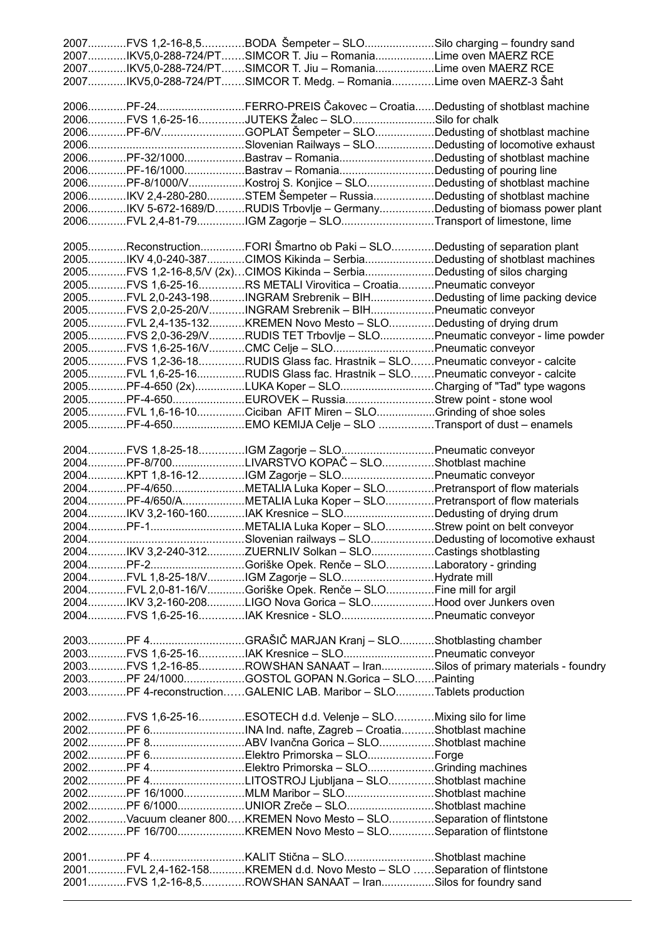|  | 2007FVS 1,2-16-8,5BODA Šempeter - SLOSilo charging - foundry sand                                                                              |  |
|--|------------------------------------------------------------------------------------------------------------------------------------------------|--|
|  | 2007IKV5,0-288-724/PTSIMCOR T. Jiu - RomaniaLime oven MAERZ RCE                                                                                |  |
|  | 2007IKV5,0-288-724/PTSIMCOR T. Jiu - RomaniaLime oven MAERZ RCE                                                                                |  |
|  | 2007IKV5,0-288-724/PTSIMCOR T. Medg. - RomaniaLime oven MAERZ-3 Šaht                                                                           |  |
|  |                                                                                                                                                |  |
|  | 2006PF-24FERRO-PREIS Čakovec - CroatiaDedusting of shotblast machine                                                                           |  |
|  | 2006FVS 1,6-25-16JUTEKS Žalec - SLOSilo for chalk                                                                                              |  |
|  | 2006PF-6/VGOPLAT Šempeter – SLODedusting of shotblast machine                                                                                  |  |
|  |                                                                                                                                                |  |
|  | 2006PF-32/1000Bastrav - RomaniaDedusting of shotblast machine                                                                                  |  |
|  | 2006PF-16/1000Bastrav - RomaniaDedusting of pouring line                                                                                       |  |
|  | 2006PF-8/1000/VKostroj S. Konjice - SLODedusting of shotblast machine                                                                          |  |
|  | 2006IKV 2,4-280-280STEM Šempeter - RussiaDedusting of shotblast machine                                                                        |  |
|  | 2006IKV 5-672-1689/DRUDIS Trbovlje - GermanyDedusting of biomass power plant<br>2006FVL 2,4-81-79IGM Zagorje - SLOTransport of limestone, lime |  |
|  |                                                                                                                                                |  |
|  | 2005ReconstructionFORI Šmartno ob Paki - SLODedusting of separation plant                                                                      |  |
|  | 2005IKV 4,0-240-387CIMOS Kikinda - SerbiaDedusting of shotblast machines                                                                       |  |
|  | 2005FVS 1,2-16-8,5/V (2x)CIMOS Kikinda – SerbiaDedusting of silos charging                                                                     |  |
|  | 2005FVS 1,6-25-16RS METALI Virovitica - CroatiaPneumatic conveyor                                                                              |  |
|  | 2005FVL 2,0-243-198INGRAM Srebrenik - BIHDedusting of lime packing device                                                                      |  |
|  | 2005FVS 2,0-25-20/VINGRAM Srebrenik - BIHPneumatic conveyor                                                                                    |  |
|  | 2005FVL 2,4-135-132KREMEN Novo Mesto - SLODedusting of drying drum                                                                             |  |
|  | 2005FVS 2,0-36-29/VRUDIS TET Trbovlje - SLOPneumatic conveyor - lime powder                                                                    |  |
|  | 2005FVS 1,6-25-16/VCMC Celje - SLOPneumatic conveyor                                                                                           |  |
|  | 2005FVS 1,2-36-18RUDIS Glass fac. Hrastnik - SLOPneumatic conveyor - calcite                                                                   |  |
|  | 2005FVL 1,6-25-16RUDIS Glass fac. Hrastnik - SLOPneumatic conveyor - calcite                                                                   |  |
|  | 2005PF-4-650 (2x)LUKA Koper - SLOCharging of "Tad" type wagons                                                                                 |  |
|  | 2005PF-4-650EUROVEK - RussiaStrew point - stone wool                                                                                           |  |
|  | 2005FVL 1,6-16-10Ciciban AFIT Miren - SLOGrinding of shoe soles                                                                                |  |
|  | 2005PF-4-650EMO KEMIJA Celje - SLO Transport of dust - enamels                                                                                 |  |
|  |                                                                                                                                                |  |
|  | 2004FVS 1,8-25-18IGM Zagorje - SLOPneumatic conveyor                                                                                           |  |
|  | 2004PF-8/700LIVARSTVO KOPAČ - SLOShotblast machine                                                                                             |  |
|  | 2004KPT 1,8-16-12IGM Zagorje - SLOPneumatic conveyor                                                                                           |  |
|  | 2004PF-4/650METALIA Luka Koper - SLOPretransport of flow materials                                                                             |  |
|  | 2004PF-4/650/AMETALIA Luka Koper - SLOPretransport of flow materials                                                                           |  |
|  | 2004IKV 3,2-160-160IAK Kresnice - SLODedusting of drying drum                                                                                  |  |
|  |                                                                                                                                                |  |
|  |                                                                                                                                                |  |
|  | 2004IKV 3,2-240-312ZUERNLIV Solkan - SLOCastings shotblasting                                                                                  |  |
|  |                                                                                                                                                |  |
|  | 2004FVL 1,8-25-18/VIGM Zagorje - SLOHydrate mill                                                                                               |  |
|  | 2004FVL 2,0-81-16/VGoriške Opek. Renče - SLOFine mill for argil                                                                                |  |
|  | 2004IKV 3,2-160-208LIGO Nova Gorica - SLOHood over Junkers oven                                                                                |  |
|  |                                                                                                                                                |  |
|  | 2004FVS 1,6-25-16IAK Kresnice - SLOPneumatic conveyor                                                                                          |  |
|  |                                                                                                                                                |  |
|  |                                                                                                                                                |  |
|  | 2003FVS 1,6-25-16IAK Kresnice - SLOPneumatic conveyor                                                                                          |  |
|  | 2003FVS 1,2-16-85ROWSHAN SANAAT - IranSilos of primary materials - foundry                                                                     |  |
|  | 2003PF 24/1000GOSTOL GOPAN N.Gorica - SLOPainting                                                                                              |  |
|  | 2003PF 4-reconstructionGALENIC LAB. Maribor - SLOTablets production                                                                            |  |
|  |                                                                                                                                                |  |
|  | 2002FVS 1,6-25-16ESOTECH d.d. Velenje - SLOMixing silo for lime                                                                                |  |
|  |                                                                                                                                                |  |
|  |                                                                                                                                                |  |
|  |                                                                                                                                                |  |
|  |                                                                                                                                                |  |
|  |                                                                                                                                                |  |
|  | 2002PF 16/1000MLM Maribor - SLOShotblast machine                                                                                               |  |
|  | 2002PF 6/1000UNIOR Zreče - SLOShotblast machine                                                                                                |  |
|  | 2002Vacuum cleaner 800KREMEN Novo Mesto - SLOSeparation of flintstone                                                                          |  |
|  | 2002PF 16/700KREMEN Novo Mesto - SLOSeparation of flintstone                                                                                   |  |
|  |                                                                                                                                                |  |
|  |                                                                                                                                                |  |
|  | 2001FVL 2,4-162-158KREMEN d.d. Novo Mesto - SLO Separation of flintstone<br>2001FVS 1,2-16-8,5ROWSHAN SANAAT - IranSilos for foundry sand      |  |